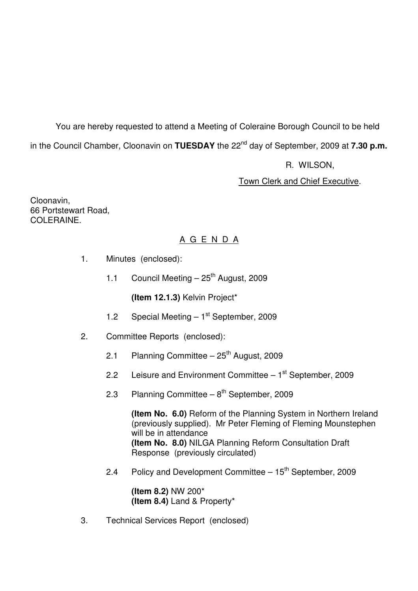You are hereby requested to attend a Meeting of Coleraine Borough Council to be held in the Council Chamber, Cloonavin on **TUESDAY** the 22<sup>nd</sup> day of September, 2009 at **7.30 p.m.** 

R. WILSON,

Town Clerk and Chief Executive.

Cloonavin, 66 Portstewart Road, COLERAINE.

# A G E N D A

- 1. Minutes (enclosed):
	- 1.1 Council Meeting  $-25<sup>th</sup>$  August, 2009

**(Item 12.1.3)** Kelvin Project\*

- 1.2 Special Meeting  $-1<sup>st</sup>$  September, 2009
- 2. Committee Reports (enclosed):
	- 2.1 Planning Committee  $25<sup>th</sup>$  August, 2009
	- 2.2 Leisure and Environment Committee  $-1<sup>st</sup>$  September, 2009
	- 2.3 Planning Committee  $8<sup>th</sup>$  September, 2009

**(Item No. 6.0)** Reform of the Planning System in Northern Ireland (previously supplied). Mr Peter Fleming of Fleming Mounstephen will be in attendance **(Item No. 8.0)** NILGA Planning Reform Consultation Draft Response (previously circulated)

2.4 Policy and Development Committee  $-15<sup>th</sup>$  September, 2009

 **(Item 8.2)** NW 200\* **(Item 8.4)** Land & Property\*

3. Technical Services Report (enclosed)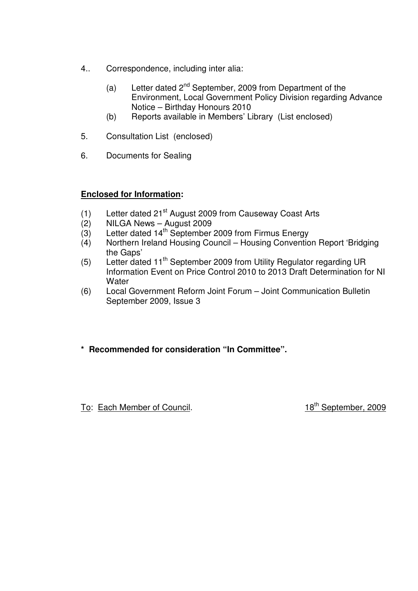- 4.. Correspondence, including inter alia:
	- (a) Letter dated  $2^{nd}$  September, 2009 from Department of the Environment, Local Government Policy Division regarding Advance Notice – Birthday Honours 2010
	- (b) Reports available in Members' Library (List enclosed)
- 5. Consultation List (enclosed)
- 6. Documents for Sealing

# **Enclosed for Information:**

- (1) Letter dated  $21<sup>st</sup>$  August 2009 from Causeway Coast Arts
- (2) NILGA News August 2009
- $(3)$  Letter dated 14<sup>th</sup> September 2009 from Firmus Energy
- (4) Northern Ireland Housing Council Housing Convention Report 'Bridging the Gaps'
- (5) Letter dated 11th September 2009 from Utility Regulator regarding UR Information Event on Price Control 2010 to 2013 Draft Determination for NI **Water**
- (6) Local Government Reform Joint Forum Joint Communication Bulletin September 2009, Issue 3
- **\* Recommended for consideration "In Committee".**

To: Each Member of Council. 18<sup>th</sup> September, 2009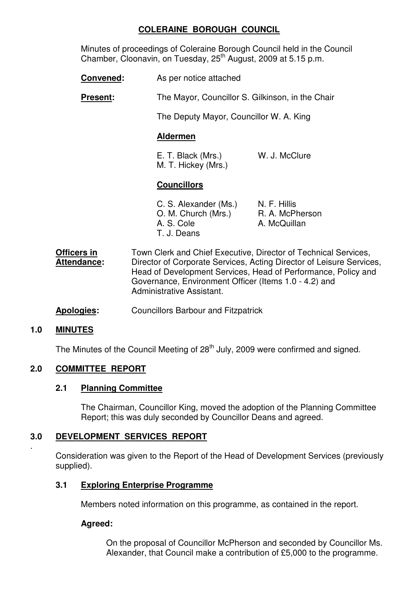# **COLERAINE BOROUGH COUNCIL**

Minutes of proceedings of Coleraine Borough Council held in the Council Chamber, Cloonavin, on Tuesday, 25th August, 2009 at 5.15 p.m.

- **Convened:** As per notice attached
- **Present:** The Mayor, Councillor S. Gilkinson, in the Chair

The Deputy Mayor, Councillor W. A. King

#### **Aldermen**

 E. T. Black (Mrs.) W. J. McClure M. T. Hickey (Mrs.)

#### **Councillors**

| C. S. Alexander (Ms.) | N. F. Hillis    |
|-----------------------|-----------------|
| O. M. Church (Mrs.)   | R. A. McPherson |
| A. S. Cole            | A. McQuillan    |
| T. J. Deans           |                 |

- **Officers in** Town Clerk and Chief Executive, Director of Technical Services, **Attendance:** Director of Corporate Services, Acting Director of Leisure Services, Head of Development Services, Head of Performance, Policy and Governance, Environment Officer (Items 1.0 - 4.2) and Administrative Assistant.
- **Apologies:** Councillors Barbour and Fitzpatrick

#### **1.0 MINUTES**

.

The Minutes of the Council Meeting of 28<sup>th</sup> July, 2009 were confirmed and signed.

# **2.0 COMMITTEE REPORT**

#### **2.1 Planning Committee**

 The Chairman, Councillor King, moved the adoption of the Planning Committee Report; this was duly seconded by Councillor Deans and agreed.

# **3.0 DEVELOPMENT SERVICES REPORT**

 Consideration was given to the Report of the Head of Development Services (previously supplied).

#### **3.1 Exploring Enterprise Programme**

Members noted information on this programme, as contained in the report.

#### **Agreed:**

On the proposal of Councillor McPherson and seconded by Councillor Ms. Alexander, that Council make a contribution of £5,000 to the programme.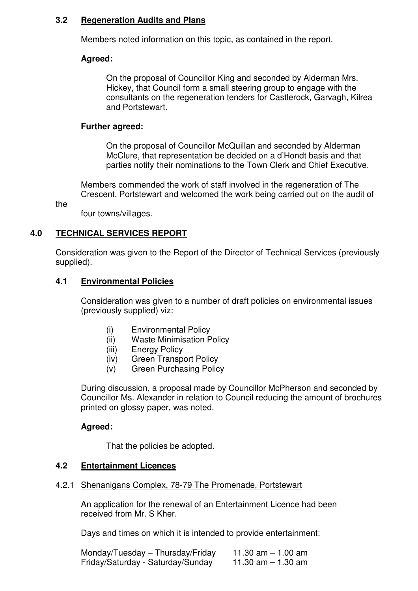#### **3.2 Regeneration Audits and Plans**

Members noted information on this topic, as contained in the report.

# **Agreed:**

On the proposal of Councillor King and seconded by Alderman Mrs. Hickey, that Council form a small steering group to engage with the consultants on the regeneration tenders for Castlerock, Garvagh, Kilrea and Portstewart.

#### **Further agreed:**

On the proposal of Councillor McQuillan and seconded by Alderman McClure, that representation be decided on a d'Hondt basis and that parties notify their nominations to the Town Clerk and Chief Executive.

 Members commended the work of staff involved in the regeneration of The Crescent, Portstewart and welcomed the work being carried out on the audit of

the

four towns/villages.

# **4.0 TECHNICAL SERVICES REPORT**

Consideration was given to the Report of the Director of Technical Services (previously supplied).

#### **4.1 Environmental Policies**

 Consideration was given to a number of draft policies on environmental issues (previously supplied) viz:

- (i) Environmental Policy
- (ii) Waste Minimisation Policy
- (iii) Energy Policy
- (iv) Green Transport Policy
- (v) Green Purchasing Policy

 During discussion, a proposal made by Councillor McPherson and seconded by Councillor Ms. Alexander in relation to Council reducing the amount of brochures printed on glossy paper, was noted.

# **Agreed:**

That the policies be adopted.

#### **4.2 Entertainment Licences**

#### 4.2.1 Shenanigans Complex, 78-79 The Promenade, Portstewart

 An application for the renewal of an Entertainment Licence had been received from Mr. S Kher.

Days and times on which it is intended to provide entertainment:

| Monday/Tuesday - Thursday/Friday  | 11.30 am $-$ 1.00 am |
|-----------------------------------|----------------------|
| Friday/Saturday - Saturday/Sunday | 11.30 $am - 1.30 am$ |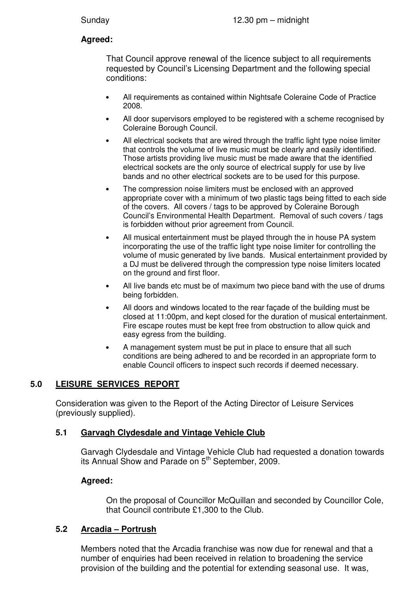# **Agreed:**

 That Council approve renewal of the licence subject to all requirements requested by Council's Licensing Department and the following special conditions:

- All requirements as contained within Nightsafe Coleraine Code of Practice 2008.
- All door supervisors employed to be registered with a scheme recognised by Coleraine Borough Council.
- All electrical sockets that are wired through the traffic light type noise limiter that controls the volume of live music must be clearly and easily identified. Those artists providing live music must be made aware that the identified electrical sockets are the only source of electrical supply for use by live bands and no other electrical sockets are to be used for this purpose.
- The compression noise limiters must be enclosed with an approved appropriate cover with a minimum of two plastic tags being fitted to each side of the covers. All covers / tags to be approved by Coleraine Borough Council's Environmental Health Department. Removal of such covers / tags is forbidden without prior agreement from Council.
- All musical entertainment must be played through the in house PA system incorporating the use of the traffic light type noise limiter for controlling the volume of music generated by live bands. Musical entertainment provided by a DJ must be delivered through the compression type noise limiters located on the ground and first floor.
- All live bands etc must be of maximum two piece band with the use of drums being forbidden.
- All doors and windows located to the rear façade of the building must be closed at 11:00pm, and kept closed for the duration of musical entertainment. Fire escape routes must be kept free from obstruction to allow quick and easy egress from the building.
- A management system must be put in place to ensure that all such conditions are being adhered to and be recorded in an appropriate form to enable Council officers to inspect such records if deemed necessary.

# **5.0 LEISURE SERVICES REPORT**

Consideration was given to the Report of the Acting Director of Leisure Services (previously supplied).

# **5.1 Garvagh Clydesdale and Vintage Vehicle Club**

Garvagh Clydesdale and Vintage Vehicle Club had requested a donation towards its Annual Show and Parade on 5<sup>th</sup> September, 2009.

# **Agreed:**

On the proposal of Councillor McQuillan and seconded by Councillor Cole, that Council contribute £1,300 to the Club.

# **5.2 Arcadia – Portrush**

Members noted that the Arcadia franchise was now due for renewal and that a number of enquiries had been received in relation to broadening the service provision of the building and the potential for extending seasonal use. It was,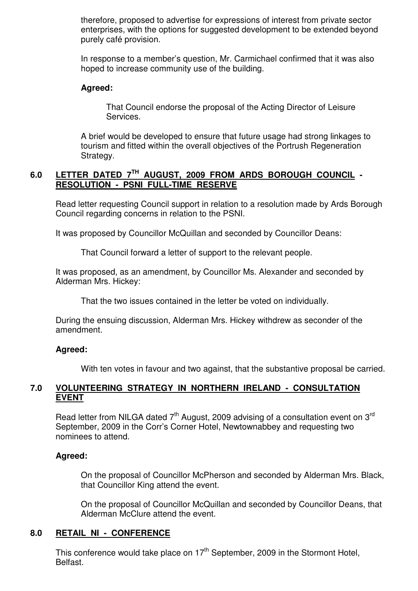therefore, proposed to advertise for expressions of interest from private sector enterprises, with the options for suggested development to be extended beyond purely café provision.

In response to a member's question, Mr. Carmichael confirmed that it was also hoped to increase community use of the building.

#### **Agreed:**

That Council endorse the proposal of the Acting Director of Leisure Services.

A brief would be developed to ensure that future usage had strong linkages to tourism and fitted within the overall objectives of the Portrush Regeneration Strategy.

# **6.0 LETTER DATED 7TH AUGUST, 2009 FROM ARDS BOROUGH COUNCIL - RESOLUTION - PSNI FULL-TIME RESERVE**

 Read letter requesting Council support in relation to a resolution made by Ards Borough Council regarding concerns in relation to the PSNI.

It was proposed by Councillor McQuillan and seconded by Councillor Deans:

That Council forward a letter of support to the relevant people.

 It was proposed, as an amendment, by Councillor Ms. Alexander and seconded by Alderman Mrs. Hickey:

That the two issues contained in the letter be voted on individually.

 During the ensuing discussion, Alderman Mrs. Hickey withdrew as seconder of the amendment.

#### **Agreed:**

With ten votes in favour and two against, that the substantive proposal be carried.

# **7.0 VOLUNTEERING STRATEGY IN NORTHERN IRELAND - CONSULTATION EVENT**

Read letter from NILGA dated  $7<sup>th</sup>$  August, 2009 advising of a consultation event on 3<sup>rd</sup> September, 2009 in the Corr's Corner Hotel, Newtownabbey and requesting two nominees to attend.

# **Agreed:**

On the proposal of Councillor McPherson and seconded by Alderman Mrs. Black, that Councillor King attend the event.

 On the proposal of Councillor McQuillan and seconded by Councillor Deans, that Alderman McClure attend the event.

# **8.0 RETAIL NI - CONFERENCE**

This conference would take place on  $17<sup>th</sup>$  September, 2009 in the Stormont Hotel, Belfast.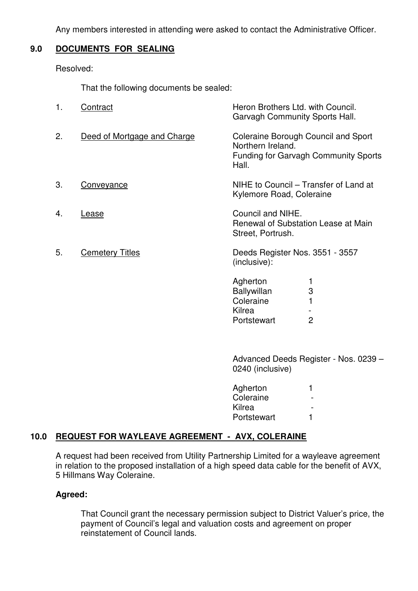Any members interested in attending were asked to contact the Administrative Officer.

# **9.0 DOCUMENTS FOR SEALING**

Resolved:

That the following documents be sealed:

| 1. | Contract                    | Heron Brothers Ltd. with Council.<br>Garvagh Community Sports Hall.                                              |
|----|-----------------------------|------------------------------------------------------------------------------------------------------------------|
| 2. | Deed of Mortgage and Charge | Coleraine Borough Council and Sport<br>Northern Ireland.<br><b>Funding for Garvagh Community Sports</b><br>Hall. |
| 3. | <u>Conveyance</u>           | NIHE to Council – Transfer of Land at<br>Kylemore Road, Coleraine                                                |
| 4. | Lease                       | Council and NIHE.<br>Renewal of Substation Lease at Main<br>Street, Portrush.                                    |
| 5. | <b>Cemetery Titles</b>      | Deeds Register Nos. 3551 - 3557<br>(inclusive):                                                                  |
|    |                             | Agherton<br>3<br><b>Ballywillan</b><br>Coleraine                                                                 |

Kilrea -<br>Portstewart - 2 Portstewart

 Advanced Deeds Register - Nos. 0239 – 0240 (inclusive)

| Agherton    |  |
|-------------|--|
| Coleraine   |  |
| Kilrea      |  |
| Portstewart |  |

# **10.0 REQUEST FOR WAYLEAVE AGREEMENT - AVX, COLERAINE**

 A request had been received from Utility Partnership Limited for a wayleave agreement in relation to the proposed installation of a high speed data cable for the benefit of AVX, 5 Hillmans Way Coleraine.

# **Agreed:**

That Council grant the necessary permission subject to District Valuer's price, the payment of Council's legal and valuation costs and agreement on proper reinstatement of Council lands.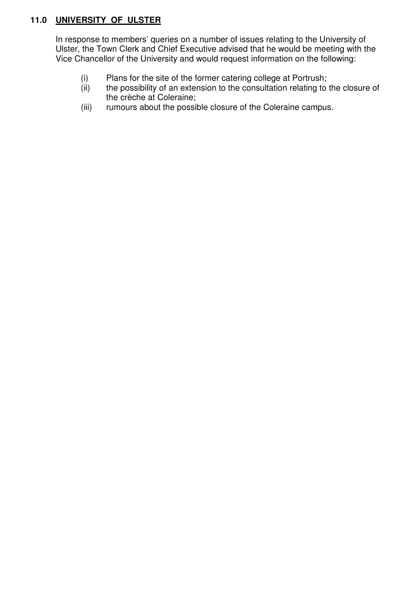# **11.0 UNIVERSITY OF ULSTER**

In response to members' queries on a number of issues relating to the University of Ulster, the Town Clerk and Chief Executive advised that he would be meeting with the Vice Chancellor of the University and would request information on the following:

- (i) Plans for the site of the former catering college at Portrush;<br>(ii) the possibility of an extension to the consultation relating to
- the possibility of an extension to the consultation relating to the closure of the crèche at Coleraine;
- (iii) rumours about the possible closure of the Coleraine campus.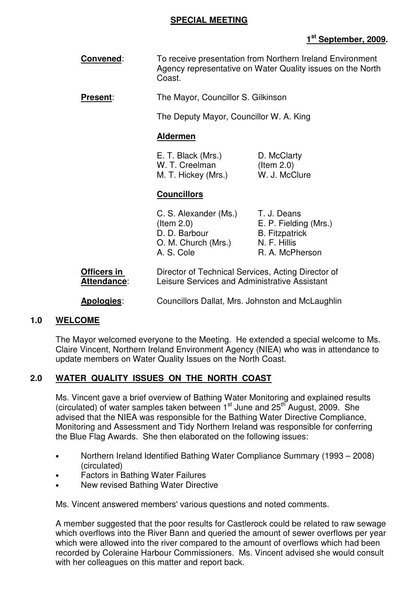#### **SPECIAL MEETING**

# **1 st September, 2009.**

**Convened:** To receive presentation from Northern Ireland Environment Agency representative on Water Quality issues on the North Coast.

**Present**: The Mayor, Councillor S. Gilkinson

The Deputy Mayor, Councillor W. A. King

#### **Aldermen**

| E. T. Black (Mrs.)  | D. McClarty   |
|---------------------|---------------|
| W. T. Creelman      | (Item $2.0$ ) |
| M. T. Hickey (Mrs.) | W. J. McClure |

#### **Councillors**

| C. S. Alexander (Ms.) | T. J. Deans           |
|-----------------------|-----------------------|
| $($ ltem 2.0)         | E. P. Fielding (Mrs.) |
| D. D. Barbour         | <b>B.</b> Fitzpatrick |
| O. M. Church (Mrs.)   | N. F. Hillis          |
| A. S. Cole            | R. A. McPherson       |
|                       |                       |

- **Officers in Contract Director of Technical Services, Acting Director of Attendance**: Leisure Services and Administrative Assistant
- **Apologies**: Councillors Dallat, Mrs. Johnston and McLaughlin

#### **1.0 WELCOME**

The Mayor welcomed everyone to the Meeting. He extended a special welcome to Ms. Claire Vincent, Northern Ireland Environment Agency (NIEA) who was in attendance to update members on Water Quality Issues on the North Coast.

# **2.0 WATER QUALITY ISSUES ON THE NORTH COAST**

 Ms. Vincent gave a brief overview of Bathing Water Monitoring and explained results (circulated) of water samples taken between  $1<sup>st</sup>$  June and  $25<sup>th</sup>$  August, 2009. She advised that the NIEA was responsible for the Bathing Water Directive Compliance, Monitoring and Assessment and Tidy Northern Ireland was responsible for conferring the Blue Flag Awards. She then elaborated on the following issues:

- Northern Ireland Identified Bathing Water Compliance Summary (1993 2008) (circulated)
- Factors in Bathing Water Failures
- New revised Bathing Water Directive

Ms. Vincent answered members' various questions and noted comments.

A member suggested that the poor results for Castlerock could be related to raw sewage which overflows into the River Bann and queried the amount of sewer overflows per year which were allowed into the river compared to the amount of overflows which had been recorded by Coleraine Harbour Commissioners. Ms. Vincent advised she would consult with her colleagues on this matter and report back.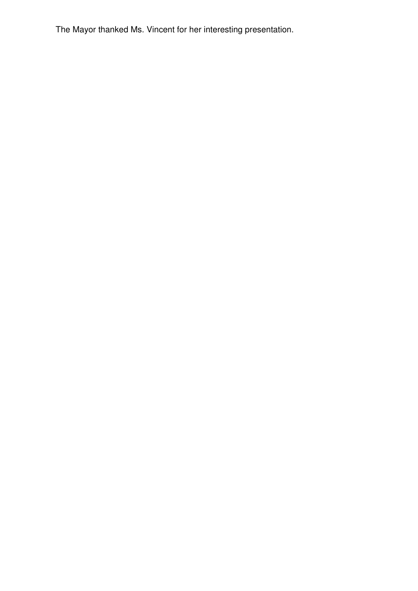The Mayor thanked Ms. Vincent for her interesting presentation.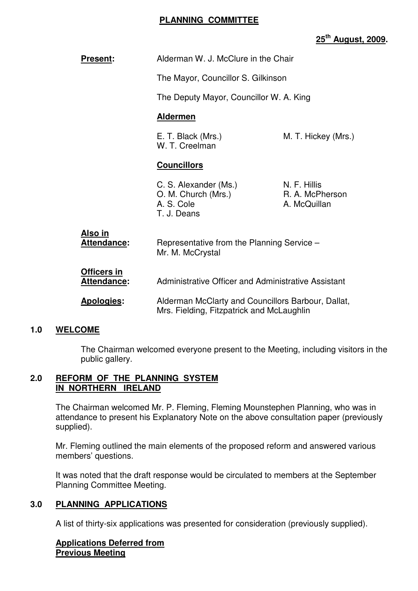#### **PLANNING COMMITTEE**

# **25th August, 2009.**

| <b>Present:</b>                   | Alderman W. J. McClure in the Chair                                                                                          |  |  |  |
|-----------------------------------|------------------------------------------------------------------------------------------------------------------------------|--|--|--|
|                                   | The Mayor, Councillor S. Gilkinson                                                                                           |  |  |  |
|                                   | The Deputy Mayor, Councillor W. A. King                                                                                      |  |  |  |
|                                   | <b>Aldermen</b>                                                                                                              |  |  |  |
|                                   | E. T. Black (Mrs.)<br>M. T. Hickey (Mrs.)<br>W. T. Creelman                                                                  |  |  |  |
|                                   | <b>Councillors</b>                                                                                                           |  |  |  |
|                                   | C. S. Alexander (Ms.)<br>N. F. Hillis<br>O. M. Church (Mrs.)<br>R. A. McPherson<br>A. S. Cole<br>A. McQuillan<br>T. J. Deans |  |  |  |
| Also in<br>Attendance:            | Representative from the Planning Service -<br>Mr. M. McCrystal                                                               |  |  |  |
| <b>Officers in</b><br>Attendance: | Administrative Officer and Administrative Assistant                                                                          |  |  |  |
| Apologies:                        | Alderman McClarty and Councillors Barbour, Dallat,<br>Mrs. Fielding, Fitzpatrick and McLaughlin                              |  |  |  |

#### **1.0 WELCOME**

 The Chairman welcomed everyone present to the Meeting, including visitors in the public gallery.

#### **2.0 REFORM OF THE PLANNING SYSTEM IN NORTHERN IRELAND**

 The Chairman welcomed Mr. P. Fleming, Fleming Mounstephen Planning, who was in attendance to present his Explanatory Note on the above consultation paper (previously supplied).

 Mr. Fleming outlined the main elements of the proposed reform and answered various members' questions.

 It was noted that the draft response would be circulated to members at the September Planning Committee Meeting.

# **3.0 PLANNING APPLICATIONS**

A list of thirty-six applications was presented for consideration (previously supplied).

#### **Applications Deferred from Previous Meeting**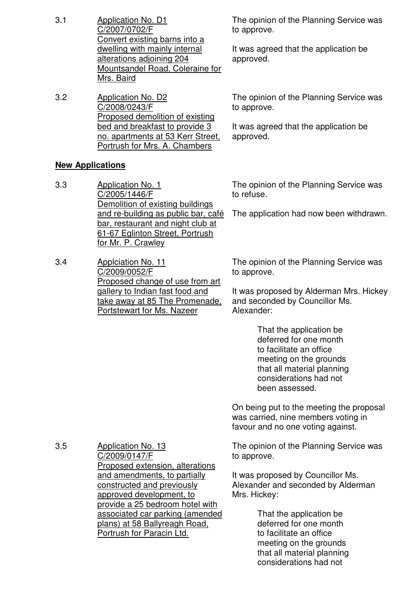- 3.1 Application No. D1 C/2007/0702/F Convert existing barns into a dwelling with mainly internal alterations adjoining 204 Mountsandel Road, Coleraine for Mrs. Baird
- 3.2 Application No. D2 C/2008/0243/F Proposed demolition of existing bed and breakfast to provide 3 no. apartments at 53 Kerr Street, Portrush for Mrs. A. Chambers

# **New Applications**

- 3.3 Application No. 1 C/2005/1446/F Demolition of existing buildings and re-building as public bar, café bar, restaurant and night club at 61-67 Eglinton Street, Portrush for Mr. P. Crawley
- 3.4 Applciation No. 11 C/2009/0052/F Proposed change of use from art gallery to Indian fast food and take away at 85 The Promenade, Portstewart for Ms. Nazeer

C/2009/0147/F

constructed and previously approved development, to

Portrush for Paracin Ltd.

provide a 25 bedroom hotel with associated car parking (amended plans) at 58 Ballyreagh Road,

The opinion of the Planning Service was to approve.

It was agreed that the application be approved.

The opinion of the Planning Service was to approve.

It was agreed that the application be approved.

The opinion of the Planning Service was to refuse.

The application had now been withdrawn.

The opinion of the Planning Service was to approve.

It was proposed by Alderman Mrs. Hickey and seconded by Councillor Ms. Alexander:

> That the application be deferred for one month to facilitate an office meeting on the grounds that all material planning considerations had not been assessed.

On being put to the meeting the proposal was carried, nine members voting in favour and no one voting against.

Proposed extension, alterations and amendments, to partially The opinion of the Planning Service was to approve.

It was proposed by Councillor Ms. Alexander and seconded by Alderman Mrs. Hickey:

> That the application be deferred for one month to facilitate an office meeting on the grounds that all material planning considerations had not

3.5 Application No. 13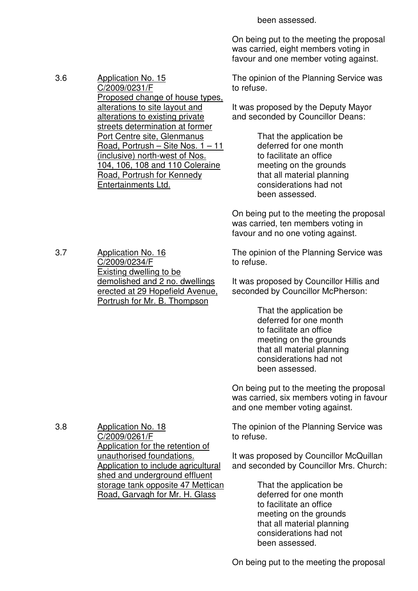been assessed.

On being put to the meeting the proposal was carried, eight members voting in favour and one member voting against.

3.6 Application No. 15 C/2009/0231/F Proposed change of house types, alterations to site layout and alterations to existing private streets determination at former Port Centre site, Glenmanus The opinion of the Planning Service was to refuse. It was proposed by the Deputy Mayor and seconded by Councillor Deans:

 That the application be deferred for one month to facilitate an office meeting on the grounds that all material planning considerations had not been assessed.

On being put to the meeting the proposal was carried, ten members voting in favour and no one voting against.

The opinion of the Planning Service was to refuse.

It was proposed by Councillor Hillis and seconded by Councillor McPherson:

> That the application be deferred for one month to facilitate an office meeting on the grounds that all material planning considerations had not been assessed.

On being put to the meeting the proposal was carried, six members voting in favour and one member voting against.

The opinion of the Planning Service was to refuse.

It was proposed by Councillor McQuillan and seconded by Councillor Mrs. Church:

> That the application be deferred for one month to facilitate an office meeting on the grounds that all material planning considerations had not been assessed.

3.7 Application No. 16 C/2009/0234/F Existing dwelling to be demolished and 2 no. dwellings erected at 29 Hopefield Avenue, Portrush for Mr. B. Thompson

Entertainments Ltd.

Road, Portrush – Site Nos. 1 – 11 (inclusive) north-west of Nos. 104, 106, 108 and 110 Coleraine Road, Portrush for Kennedy

3.8 Application No. 18 C/2009/0261/F Application for the retention of unauthorised foundations. Application to include agricultural shed and underground effluent storage tank opposite 47 Mettican Road, Garvagh for Mr. H. Glass

On being put to the meeting the proposal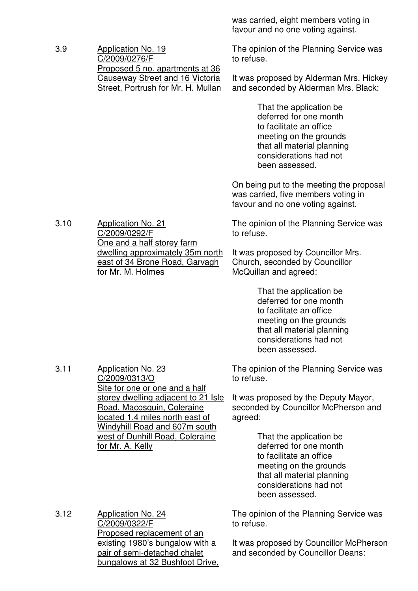3.9 Application No. 19 C/2009/0276/F Proposed 5 no. apartments at 36 Causeway Street and 16 Victoria Street, Portrush for Mr. H. Mullan was carried, eight members voting in favour and no one voting against.

The opinion of the Planning Service was to refuse.

It was proposed by Alderman Mrs. Hickey and seconded by Alderman Mrs. Black:

> That the application be deferred for one month to facilitate an office meeting on the grounds that all material planning considerations had not been assessed.

On being put to the meeting the proposal was carried, five members voting in favour and no one voting against.

The opinion of the Planning Service was to refuse.

It was proposed by Councillor Mrs. Church, seconded by Councillor McQuillan and agreed:

> That the application be deferred for one month to facilitate an office meeting on the grounds that all material planning considerations had not been assessed.

The opinion of the Planning Service was to refuse.

It was proposed by the Deputy Mayor, seconded by Councillor McPherson and agreed:

> That the application be deferred for one month to facilitate an office meeting on the grounds that all material planning considerations had not been assessed.

3.12 Application No. 24 C/2009/0322/F Proposed replacement of an existing 1980's bungalow with a pair of semi-detached chalet bungalows at 32 Bushfoot Drive,

The opinion of the Planning Service was to refuse.

It was proposed by Councillor McPherson and seconded by Councillor Deans:

3.10 Application No. 21 C/2009/0292/F One and a half storey farm dwelling approximately 35m north east of 34 Brone Road, Garvagh for Mr. M. Holmes

3.11 Application No. 23

C/2009/0313/O Site for one or one and a half storey dwelling adjacent to 21 Isle Road, Macosquin, Coleraine located 1.4 miles north east of Windyhill Road and 607m south west of Dunhill Road, Coleraine for Mr. A. Kelly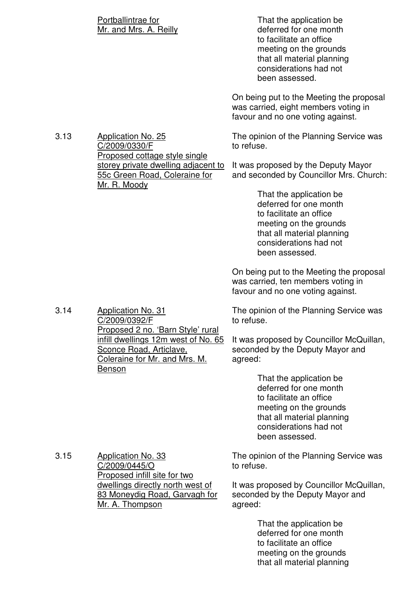|      | Portballintrae for<br>Mr. and Mrs. A. Reilly                                                                            | That the application be<br>deferred for one month<br>to facilitate an office<br>meeting on the grounds<br>that all material planning<br>considerations had not<br>been assessed. |
|------|-------------------------------------------------------------------------------------------------------------------------|----------------------------------------------------------------------------------------------------------------------------------------------------------------------------------|
|      |                                                                                                                         | On being put to the Meeting the proposal<br>was carried, eight members voting in<br>favour and no one voting against.                                                            |
| 3.13 | <b>Application No. 25</b><br>C/2009/0330/F<br>Proposed cottage style single                                             | The opinion of the Planning Service was<br>to refuse.                                                                                                                            |
|      | storey private dwelling adjacent to<br>55c Green Road, Coleraine for<br>Mr. R. Moody                                    | It was proposed by the Deputy Mayor<br>and seconded by Councillor Mrs. Church:                                                                                                   |
|      |                                                                                                                         | That the application be<br>deferred for one month<br>to facilitate an office<br>meeting on the grounds<br>that all material planning<br>considerations had not<br>been assessed. |
|      |                                                                                                                         | On being put to the Meeting the proposal<br>was carried, ten members voting in<br>favour and no one voting against.                                                              |
| 3.14 | <b>Application No. 31</b><br>C/2009/0392/F<br>Proposed 2 no. 'Barn Style' rural                                         | The opinion of the Planning Service was<br>to refuse.                                                                                                                            |
|      | infill dwellings 12m west of No. 65<br><b>Sconce Road, Articlave,</b><br>Coleraine for Mr. and Mrs. M.<br><b>Benson</b> | It was proposed by Councillor McQuillan,<br>seconded by the Deputy Mayor and<br>agreed:                                                                                          |
|      |                                                                                                                         | That the application be<br>deferred for one month<br>to facilitate an office<br>meeting on the grounds<br>that all material planning<br>considerations had not<br>been assessed. |
| 3.15 | <b>Application No. 33</b><br>C/2009/0445/O<br>Proposed infill site for two                                              | The opinion of the Planning Service was<br>to refuse.                                                                                                                            |
|      | dwellings directly north west of<br>83 Moneydig Road, Garvagh for<br>Mr. A. Thompson                                    | It was proposed by Councillor McQuillan,<br>seconded by the Deputy Mayor and<br>agreed:                                                                                          |
|      |                                                                                                                         | That the application be<br>deferred for one month<br>to facilitate an office<br>meeting on the grounds                                                                           |

that all material planning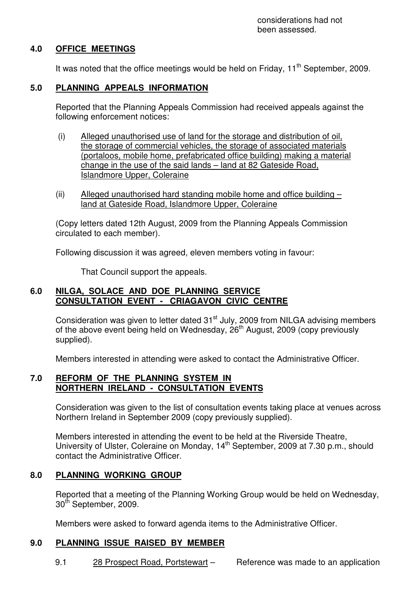# **4.0 OFFICE MEETINGS**

It was noted that the office meetings would be held on Friday,  $11<sup>th</sup>$  September, 2009.

# **5.0 PLANNING APPEALS INFORMATION**

 Reported that the Planning Appeals Commission had received appeals against the following enforcement notices:

- (i) Alleged unauthorised use of land for the storage and distribution of oil, the storage of commercial vehicles, the storage of associated materials (portaloos, mobile home, prefabricated office building) making a material change in the use of the said lands – land at 82 Gateside Road, Islandmore Upper, Coleraine
- (ii) Alleged unauthorised hard standing mobile home and office building  $$ land at Gateside Road, Islandmore Upper, Coleraine

 (Copy letters dated 12th August, 2009 from the Planning Appeals Commission circulated to each member).

Following discussion it was agreed, eleven members voting in favour:

That Council support the appeals.

# **6.0 NILGA, SOLACE AND DOE PLANNING SERVICE CONSULTATION EVENT - CRIAGAVON CIVIC CENTRE**

Consideration was given to letter dated  $31<sup>st</sup>$  July, 2009 from NILGA advising members of the above event being held on Wednesday,  $26<sup>th</sup>$  August, 2009 (copy previously supplied).

Members interested in attending were asked to contact the Administrative Officer.

#### **7.0 REFORM OF THE PLANNING SYSTEM IN NORTHERN IRELAND - CONSULTATION EVENTS**

 Consideration was given to the list of consultation events taking place at venues across Northern Ireland in September 2009 (copy previously supplied).

 Members interested in attending the event to be held at the Riverside Theatre, University of Ulster, Coleraine on Monday, 14<sup>th</sup> September, 2009 at 7.30 p.m., should contact the Administrative Officer.

# **8.0 PLANNING WORKING GROUP**

 Reported that a meeting of the Planning Working Group would be held on Wednesday, 30<sup>th</sup> September, 2009.

Members were asked to forward agenda items to the Administrative Officer.

# **9.0 PLANNING ISSUE RAISED BY MEMBER**

9.1 28 Prospect Road, Portstewart – Reference was made to an application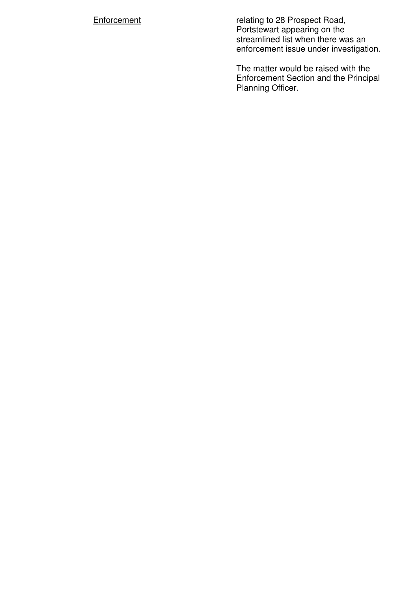**Enforcement relating to 28 Prospect Road**, Portstewart appearing on the streamlined list when there was an enforcement issue under investigation.

> The matter would be raised with the Enforcement Section and the Principal Planning Officer.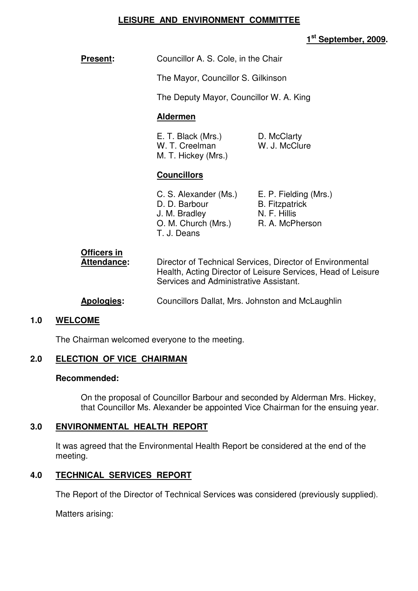#### **LEISURE AND ENVIRONMENT COMMITTEE**

# **1 st September, 2009.**

**Present:** Councillor A. S. Cole, in the Chair

The Mayor, Councillor S. Gilkinson

The Deputy Mayor, Councillor W. A. King

#### **Aldermen**

| E. T. Black (Mrs.)  | D. McClarty   |
|---------------------|---------------|
| W. T. Creelman      | W. J. McClure |
| M. T. Hickey (Mrs.) |               |

#### **Councillors**

| C. S. Alexander (Ms.) | E. P. Fielding (Mrs.) |
|-----------------------|-----------------------|
| D. D. Barbour         | <b>B.</b> Fitzpatrick |
| J. M. Bradley         | N. F. Hillis          |
| O. M. Church (Mrs.)   | R. A. McPherson       |
| T. J. Deans           |                       |

| <b>Officers in</b> |                                                                                                                                                                     |
|--------------------|---------------------------------------------------------------------------------------------------------------------------------------------------------------------|
| Attendance:        | Director of Technical Services, Director of Environmental<br>Health, Acting Director of Leisure Services, Head of Leisure<br>Services and Administrative Assistant. |
|                    |                                                                                                                                                                     |

# **Apologies:** Councillors Dallat, Mrs. Johnston and McLaughlin

#### **1.0 WELCOME**

The Chairman welcomed everyone to the meeting.

# **2.0 ELECTION OF VICE CHAIRMAN**

#### **Recommended:**

 On the proposal of Councillor Barbour and seconded by Alderman Mrs. Hickey, that Councillor Ms. Alexander be appointed Vice Chairman for the ensuing year.

# **3.0 ENVIRONMENTAL HEALTH REPORT**

 It was agreed that the Environmental Health Report be considered at the end of the meeting.

# **4.0 TECHNICAL SERVICES REPORT**

The Report of the Director of Technical Services was considered (previously supplied).

Matters arising: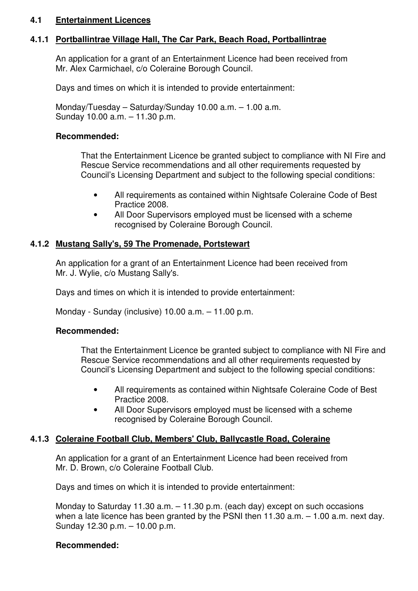#### **4.1 Entertainment Licences**

# **4.1.1 Portballintrae Village Hall, The Car Park, Beach Road, Portballintrae**

 An application for a grant of an Entertainment Licence had been received from Mr. Alex Carmichael, c/o Coleraine Borough Council.

Days and times on which it is intended to provide entertainment:

 Monday/Tuesday – Saturday/Sunday 10.00 a.m. – 1.00 a.m. Sunday 10.00 a.m. – 11.30 p.m.

#### **Recommended:**

That the Entertainment Licence be granted subject to compliance with NI Fire and Rescue Service recommendations and all other requirements requested by Council's Licensing Department and subject to the following special conditions:

- All requirements as contained within Nightsafe Coleraine Code of Best Practice 2008.
- All Door Supervisors employed must be licensed with a scheme recognised by Coleraine Borough Council.

# **4.1.2 Mustang Sally's, 59 The Promenade, Portstewart**

 An application for a grant of an Entertainment Licence had been received from Mr. J. Wylie, c/o Mustang Sally's.

Days and times on which it is intended to provide entertainment:

Monday - Sunday (inclusive) 10.00 a.m. – 11.00 p.m.

#### **Recommended:**

That the Entertainment Licence be granted subject to compliance with NI Fire and Rescue Service recommendations and all other requirements requested by Council's Licensing Department and subject to the following special conditions:

- All requirements as contained within Nightsafe Coleraine Code of Best Practice 2008.
- All Door Supervisors employed must be licensed with a scheme recognised by Coleraine Borough Council.

# **4.1.3 Coleraine Football Club, Members' Club, Ballycastle Road, Coleraine**

 An application for a grant of an Entertainment Licence had been received from Mr. D. Brown, c/o Coleraine Football Club.

Days and times on which it is intended to provide entertainment:

 Monday to Saturday 11.30 a.m. – 11.30 p.m. (each day) except on such occasions when a late licence has been granted by the PSNI then 11.30 a.m. – 1.00 a.m. next day. Sunday 12.30 p.m. – 10.00 p.m.

#### **Recommended:**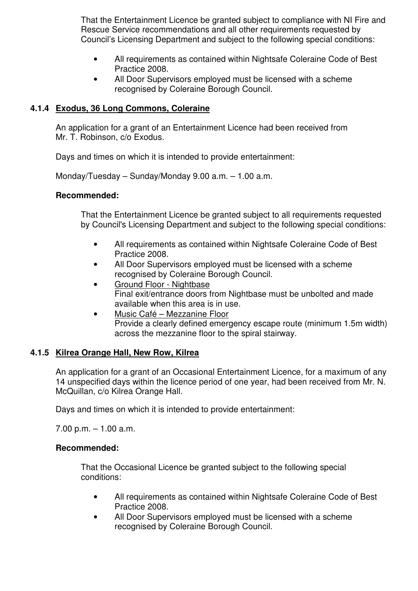That the Entertainment Licence be granted subject to compliance with NI Fire and Rescue Service recommendations and all other requirements requested by Council's Licensing Department and subject to the following special conditions:

- All requirements as contained within Nightsafe Coleraine Code of Best Practice 2008.
- All Door Supervisors employed must be licensed with a scheme recognised by Coleraine Borough Council.

# **4.1.4 Exodus, 36 Long Commons, Coleraine**

 An application for a grant of an Entertainment Licence had been received from Mr. T. Robinson, c/o Exodus.

Days and times on which it is intended to provide entertainment:

Monday/Tuesday – Sunday/Monday 9.00 a.m. – 1.00 a.m.

#### **Recommended:**

 That the Entertainment Licence be granted subject to all requirements requested by Council's Licensing Department and subject to the following special conditions:

- All requirements as contained within Nightsafe Coleraine Code of Best Practice 2008.
- All Door Supervisors employed must be licensed with a scheme recognised by Coleraine Borough Council.
- Ground Floor Nightbase Final exit/entrance doors from Nightbase must be unbolted and made available when this area is in use.
- Music Café Mezzanine Floor Provide a clearly defined emergency escape route (minimum 1.5m width) across the mezzanine floor to the spiral stairway.

# **4.1.5 Kilrea Orange Hall, New Row, Kilrea**

 An application for a grant of an Occasional Entertainment Licence, for a maximum of any 14 unspecified days within the licence period of one year, had been received from Mr. N. McQuillan, c/o Kilrea Orange Hall.

Days and times on which it is intended to provide entertainment:

 $7.00$  p.m.  $-1.00$  a.m.

# **Recommended:**

That the Occasional Licence be granted subject to the following special conditions:

- All requirements as contained within Nightsafe Coleraine Code of Best Practice 2008.
- All Door Supervisors employed must be licensed with a scheme recognised by Coleraine Borough Council.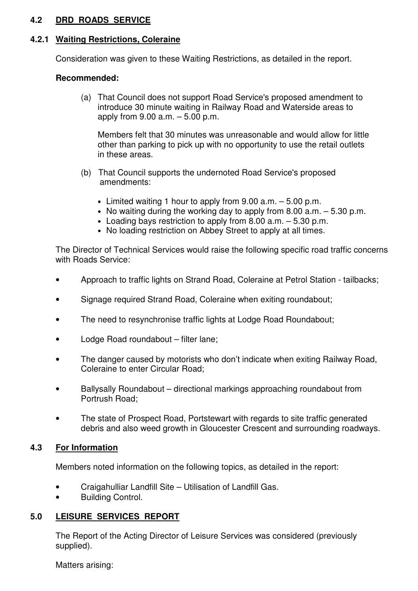# **4.2 DRD ROADS SERVICE**

#### **4.2.1 Waiting Restrictions, Coleraine**

Consideration was given to these Waiting Restrictions, as detailed in the report.

#### **Recommended:**

 (a) That Council does not support Road Service's proposed amendment to introduce 30 minute waiting in Railway Road and Waterside areas to apply from 9.00 a.m. – 5.00 p.m.

 Members felt that 30 minutes was unreasonable and would allow for little other than parking to pick up with no opportunity to use the retail outlets in these areas.

- (b) That Council supports the undernoted Road Service's proposed amendments:
	- Limited waiting 1 hour to apply from  $9.00$  a.m.  $-5.00$  p.m.
	- No waiting during the working day to apply from 8.00 a.m. 5.30 p.m.
	- Loading bays restriction to apply from 8.00 a.m. 5.30 p.m.
	- No loading restriction on Abbey Street to apply at all times.

 The Director of Technical Services would raise the following specific road traffic concerns with Roads Service:

- Approach to traffic lights on Strand Road, Coleraine at Petrol Station tailbacks;
- Signage required Strand Road, Coleraine when exiting roundabout;
- The need to resynchronise traffic lights at Lodge Road Roundabout;
- Lodge Road roundabout filter lane;
- The danger caused by motorists who don't indicate when exiting Railway Road, Coleraine to enter Circular Road;
- Ballysally Roundabout directional markings approaching roundabout from Portrush Road;
- The state of Prospect Road, Portstewart with regards to site traffic generated debris and also weed growth in Gloucester Crescent and surrounding roadways.

# **4.3 For Information**

Members noted information on the following topics, as detailed in the report:

- Craigahulliar Landfill Site Utilisation of Landfill Gas.
- Building Control.

#### **5.0 LEISURE SERVICES REPORT**

 The Report of the Acting Director of Leisure Services was considered (previously supplied).

Matters arising: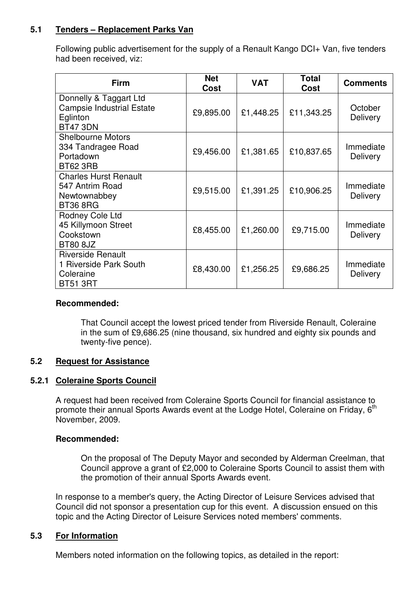# **5.1 Tenders – Replacement Parks Van**

 Following public advertisement for the supply of a Renault Kango DCI+ Van, five tenders had been received, viz:

| <b>Firm</b>                                                                               | <b>Net</b><br><b>Cost</b> | <b>VAT</b> | <b>Total</b><br>Cost | <b>Comments</b>              |
|-------------------------------------------------------------------------------------------|---------------------------|------------|----------------------|------------------------------|
| Donnelly & Taggart Ltd<br><b>Campsie Industrial Estate</b><br>Eglinton<br><b>BT47 3DN</b> | £9,895.00                 | £1,448.25  | £11,343.25           | October<br><b>Delivery</b>   |
| <b>Shelbourne Motors</b><br>334 Tandragee Road<br>Portadown<br><b>BT62 3RB</b>            | £9,456.00                 | £1,381.65  | £10,837.65           | Immediate<br><b>Delivery</b> |
| <b>Charles Hurst Renault</b><br>547 Antrim Road<br>Newtownabbey<br><b>BT36 8RG</b>        | £9,515.00                 | £1,391.25  | £10,906.25           | Immediate<br><b>Delivery</b> |
| Rodney Cole Ltd<br>45 Killymoon Street<br>Cookstown<br><b>BT80 8JZ</b>                    | £8,455.00                 | £1,260.00  | £9,715.00            | Immediate<br><b>Delivery</b> |
| <b>Riverside Renault</b><br>1 Riverside Park South<br>Coleraine<br><b>BT51 3RT</b>        | £8,430.00                 | £1,256.25  | £9,686.25            | Immediate<br><b>Delivery</b> |

#### **Recommended:**

 That Council accept the lowest priced tender from Riverside Renault, Coleraine in the sum of £9,686.25 (nine thousand, six hundred and eighty six pounds and twenty-five pence).

#### **5.2 Request for Assistance**

#### **5.2.1 Coleraine Sports Council**

 A request had been received from Coleraine Sports Council for financial assistance to promote their annual Sports Awards event at the Lodge Hotel, Coleraine on Friday, 6<sup>th</sup> November, 2009.

#### **Recommended:**

 On the proposal of The Deputy Mayor and seconded by Alderman Creelman, that Council approve a grant of £2,000 to Coleraine Sports Council to assist them with the promotion of their annual Sports Awards event.

 In response to a member's query, the Acting Director of Leisure Services advised that Council did not sponsor a presentation cup for this event. A discussion ensued on this topic and the Acting Director of Leisure Services noted members' comments.

#### **5.3 For Information**

Members noted information on the following topics, as detailed in the report: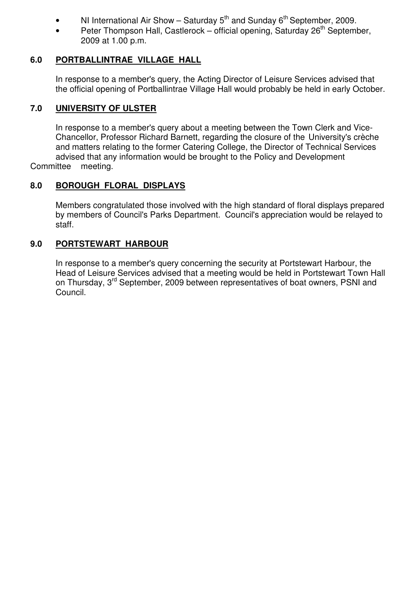- NI International Air Show Saturday  $5<sup>th</sup>$  and Sunday  $6<sup>th</sup>$  September, 2009.
- Peter Thompson Hall, Castlerock official opening, Saturday  $26<sup>th</sup>$  September, 2009 at 1.00 p.m.

# **6.0 PORTBALLINTRAE VILLAGE HALL**

 In response to a member's query, the Acting Director of Leisure Services advised that the official opening of Portballintrae Village Hall would probably be held in early October.

# **7.0 UNIVERSITY OF ULSTER**

 In response to a member's query about a meeting between the Town Clerk and Vice- Chancellor, Professor Richard Barnett, regarding the closure of the University's crèche and matters relating to the former Catering College, the Director of Technical Services advised that any information would be brought to the Policy and Development Committee meeting.

# **8.0 BOROUGH FLORAL DISPLAYS**

 Members congratulated those involved with the high standard of floral displays prepared by members of Council's Parks Department. Council's appreciation would be relayed to staff.

# **9.0 PORTSTEWART HARBOUR**

 In response to a member's query concerning the security at Portstewart Harbour, the Head of Leisure Services advised that a meeting would be held in Portstewart Town Hall on Thursday, 3<sup>rd</sup> September, 2009 between representatives of boat owners, PSNI and Council.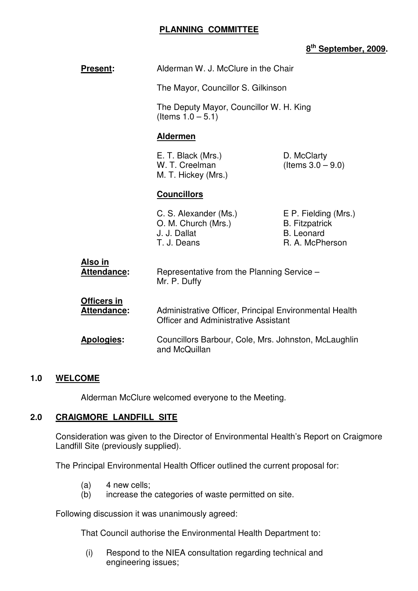# **PLANNING COMMITTEE**

 **Present:** Alderman W. J. McClure in the Chair

# **8 th September, 2009.**

| י יו ישכש ו |                                          | $\overline{\mathbf{r}}$ we have the control of the control of $\overline{\mathbf{r}}$                 |                                                                                       |
|-------------|------------------------------------------|-------------------------------------------------------------------------------------------------------|---------------------------------------------------------------------------------------|
|             |                                          | The Mayor, Councillor S. Gilkinson<br>The Deputy Mayor, Councillor W. H. King<br>(Items $1.0 - 5.1$ ) |                                                                                       |
|             |                                          |                                                                                                       |                                                                                       |
|             |                                          | <b>Aldermen</b>                                                                                       |                                                                                       |
|             |                                          | E. T. Black (Mrs.)<br>W. T. Creelman<br>M. T. Hickey (Mrs.)                                           | D. McClarty<br>(Items $3.0 - 9.0$ )                                                   |
|             |                                          | <b>Councillors</b>                                                                                    |                                                                                       |
|             |                                          | C. S. Alexander (Ms.)<br>O. M. Church (Mrs.)<br>J. J. Dallat<br>T. J. Deans                           | E P. Fielding (Mrs.)<br><b>B.</b> Fitzpatrick<br><b>B.</b> Leonard<br>R. A. McPherson |
| Also in     | Attendance:                              | Representative from the Planning Service -<br>Mr. P. Duffy                                            |                                                                                       |
|             | <b>Officers in</b><br><b>Attendance:</b> | Administrative Officer, Principal Environmental Health<br><b>Officer and Administrative Assistant</b> |                                                                                       |
|             | Apologies:                               | Councillors Barbour, Cole, Mrs. Johnston, McLaughlin                                                  |                                                                                       |

# **1.0 WELCOME**

Alderman McClure welcomed everyone to the Meeting.

and McQuillan

#### **2.0 CRAIGMORE LANDFILL SITE**

 Consideration was given to the Director of Environmental Health's Report on Craigmore Landfill Site (previously supplied).

The Principal Environmental Health Officer outlined the current proposal for:

- $(a)$  4 new cells;
- (b) increase the categories of waste permitted on site.

Following discussion it was unanimously agreed:

That Council authorise the Environmental Health Department to:

 (i) Respond to the NIEA consultation regarding technical and engineering issues;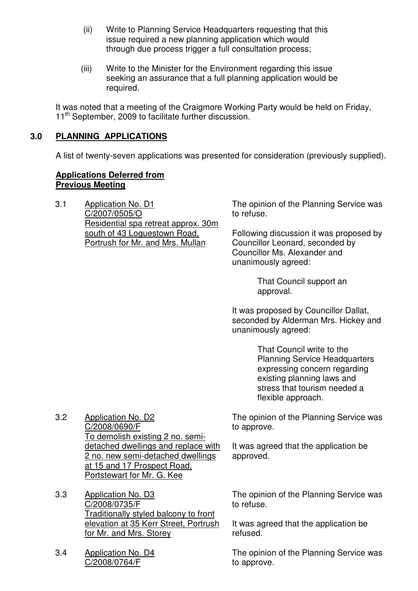- (ii) Write to Planning Service Headquarters requesting that this issue required a new planning application which would through due process trigger a full consultation process;
- (iii) Write to the Minister for the Environment regarding this issue seeking an assurance that a full planning application would be required.

It was noted that a meeting of the Craigmore Working Party would be held on Friday, 11<sup>th</sup> September, 2009 to facilitate further discussion.

# **3.0 PLANNING APPLICATIONS**

A list of twenty-seven applications was presented for consideration (previously supplied).

#### **Applications Deferred from Previous Meeting**

3.1 Application No. D1 C/2007/0505/O Residential spa retreat approx. 30m south of 43 Loguestown Road, Portrush for Mr. and Mrs. Mullan

The opinion of the Planning Service was to refuse.

Following discussion it was proposed by Councillor Leonard, seconded by Councillor Ms. Alexander and unanimously agreed:

> That Council support an approval.

It was proposed by Councillor Dallat, seconded by Alderman Mrs. Hickey and unanimously agreed:

> That Council write to the Planning Service Headquarters expressing concern regarding existing planning laws and stress that tourism needed a flexible approach.

The opinion of the Planning Service was to approve.

It was agreed that the application be approved.

3.2 Application No. D2 C/2008/0690/F To demolish existing 2 no. semidetached dwellings and replace with 2 no. new semi-detached dwellings at 15 and 17 Prospect Road, Portstewart for Mr. G. Kee

3.3 Application No. D3 C/2008/0735/F Traditionally styled balcony to front elevation at 35 Kerr Street, Portrush for Mr. and Mrs. Storey

3.4 Application No. D4 C/2008/0764/F

The opinion of the Planning Service was to refuse.

It was agreed that the application be refused.

The opinion of the Planning Service was to approve.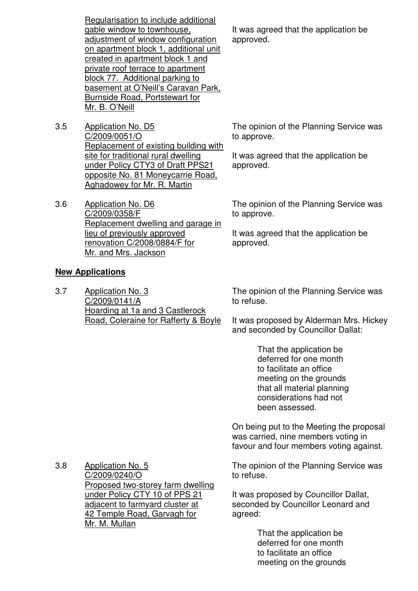Regularisation to include additional gable window to townhouse, adjustment of window configuration on apartment block 1, additional unit created in apartment block 1 and private roof terrace to apartment block 77. Additional parking to basement at O'Neill's Caravan Park, Burnside Road, Portstewart for Mr. B. O'Neill

- 3.5 Application No. D5 C/2009/0051/O Replacement of existing building with site for traditional rural dwelling under Policy CTY3 of Draft PPS21 opposite No. 81 Moneycarrie Road, Aghadowey for Mr. R. Martin
- 3.6 Application No. D6 C/2009/0358/F Replacement dwelling and garage in lieu of previously approved renovation C/2008/0884/F for Mr. and Mrs. Jackson

#### **New Applications**

3.7 Application No. 3 C/2009/0141/A Hoarding at 1a and 3 Castlerock Road, Coleraine for Rafferty & Boyle It was agreed that the application be approved.

The opinion of the Planning Service was to approve.

It was agreed that the application be approved.

The opinion of the Planning Service was to approve.

It was agreed that the application be approved.

The opinion of the Planning Service was to refuse.

It was proposed by Alderman Mrs. Hickey and seconded by Councillor Dallat:

> That the application be deferred for one month to facilitate an office meeting on the grounds that all material planning considerations had not been assessed.

On being put to the Meeting the proposal was carried, nine members voting in favour and four members voting against.

3.8 Application No. 5 C/2009/0240/O Proposed two-storey farm dwelling under Policy CTY 10 of PPS 21 adjacent to farmyard cluster at 42 Temple Road, Garvagh for

Mr. M. Mullan

The opinion of the Planning Service was to refuse.

It was proposed by Councillor Dallat, seconded by Councillor Leonard and agreed:

> That the application be deferred for one month to facilitate an office meeting on the grounds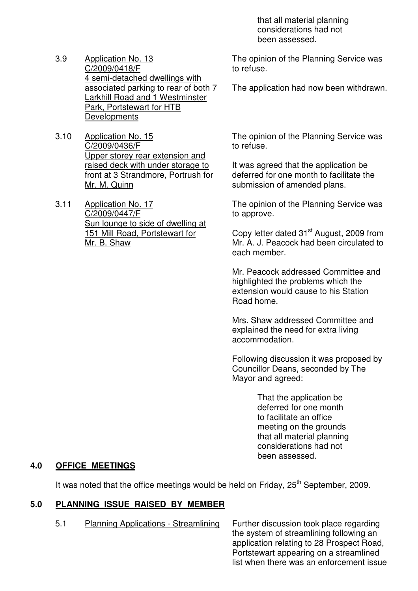that all material planning considerations had not been assessed.

- 3.9 Application No. 13 C/2009/0418/F 4 semi-detached dwellings with associated parking to rear of both 7 Larkhill Road and 1 Westminster Park, Portstewart for HTB Developments
- 3.10 Application No. 15 C/2009/0436/F Upper storey rear extension and raised deck with under storage to front at 3 Strandmore, Portrush for Mr. M. Quinn
- 3.11 Application No. 17 C/2009/0447/F Sun lounge to side of dwelling at 151 Mill Road, Portstewart for Mr. B. Shaw

The opinion of the Planning Service was to refuse.

The application had now been withdrawn.

The opinion of the Planning Service was to refuse.

It was agreed that the application be deferred for one month to facilitate the submission of amended plans.

The opinion of the Planning Service was to approve.

Copy letter dated 31<sup>st</sup> August, 2009 from Mr. A. J. Peacock had been circulated to each member.

Mr. Peacock addressed Committee and highlighted the problems which the extension would cause to his Station Road home.

Mrs. Shaw addressed Committee and explained the need for extra living accommodation.

Following discussion it was proposed by Councillor Deans, seconded by The Mayor and agreed:

> That the application be deferred for one month to facilitate an office meeting on the grounds that all material planning considerations had not been assessed.

# **4.0 OFFICE MEETINGS**

It was noted that the office meetings would be held on Friday, 25<sup>th</sup> September, 2009.

# **5.0 PLANNING ISSUE RAISED BY MEMBER**

5.1 Planning Applications - Streamlining Further discussion took place regarding

the system of streamlining following an application relating to 28 Prospect Road, Portstewart appearing on a streamlined list when there was an enforcement issue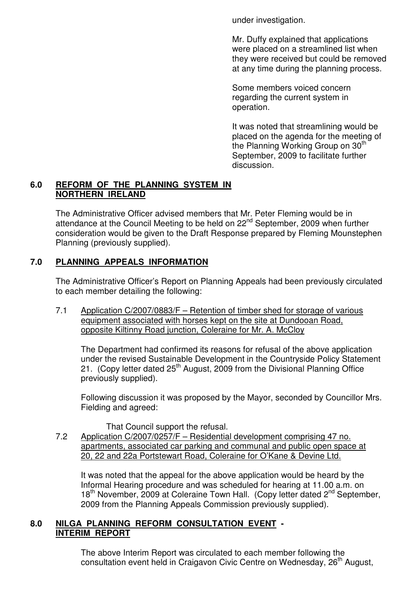under investigation.

Mr. Duffy explained that applications were placed on a streamlined list when they were received but could be removed at any time during the planning process.

Some members voiced concern regarding the current system in operation.

It was noted that streamlining would be placed on the agenda for the meeting of the Planning Working Group on 30<sup>th</sup> September, 2009 to facilitate further discussion.

# **6.0 REFORM OF THE PLANNING SYSTEM IN NORTHERN IRELAND**

 The Administrative Officer advised members that Mr. Peter Fleming would be in attendance at the Council Meeting to be held on 22<sup>nd</sup> September, 2009 when further consideration would be given to the Draft Response prepared by Fleming Mounstephen Planning (previously supplied).

# **7.0 PLANNING APPEALS INFORMATION**

 The Administrative Officer's Report on Planning Appeals had been previously circulated to each member detailing the following:

 7.1 Application C/2007/0883/F – Retention of timber shed for storage of various equipment associated with horses kept on the site at Dundooan Road, opposite Kiltinny Road junction, Coleraine for Mr. A. McCloy

 The Department had confirmed its reasons for refusal of the above application under the revised Sustainable Development in the Countryside Policy Statement 21. (Copy letter dated 25<sup>th</sup> August, 2009 from the Divisional Planning Office previously supplied).

 Following discussion it was proposed by the Mayor, seconded by Councillor Mrs. Fielding and agreed:

That Council support the refusal.

 7.2 Application C/2007/0257/F – Residential development comprising 47 no. apartments, associated car parking and communal and public open space at 20, 22 and 22a Portstewart Road, Coleraine for O'Kane & Devine Ltd.

 It was noted that the appeal for the above application would be heard by the Informal Hearing procedure and was scheduled for hearing at 11.00 a.m. on 18<sup>th</sup> November, 2009 at Coleraine Town Hall. (Copy letter dated 2<sup>nd</sup> September, 2009 from the Planning Appeals Commission previously supplied).

# **8.0 NILGA PLANNING REFORM CONSULTATION EVENT - INTERIM REPORT**

 The above Interim Report was circulated to each member following the consultation event held in Craigavon Civic Centre on Wednesday, 26<sup>th</sup> August,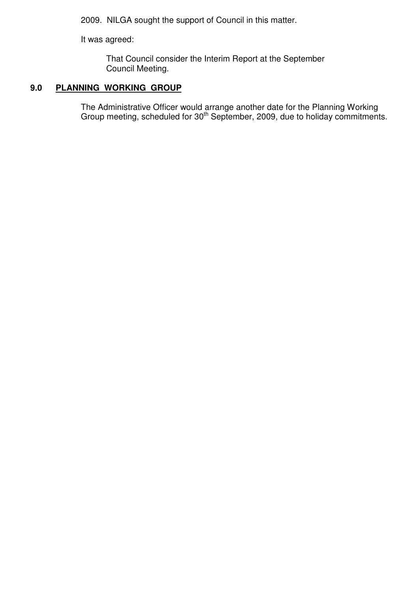2009. NILGA sought the support of Council in this matter.

It was agreed:

 That Council consider the Interim Report at the September Council Meeting.

# **9.0 PLANNING WORKING GROUP**

 The Administrative Officer would arrange another date for the Planning Working Group meeting, scheduled for  $30<sup>th</sup>$  September, 2009, due to holiday commitments.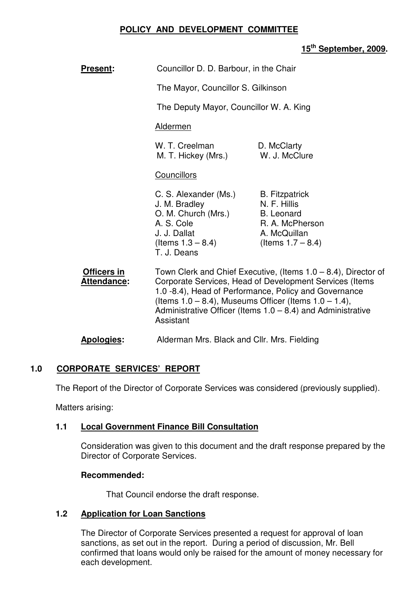# **POLICY AND DEVELOPMENT COMMITTEE**

# **15th September, 2009.**

| <b>Present:</b>                          | Councillor D. D. Barbour, in the Chair                                                                                                                                                                                                                                                                                              |                                                                                                                       |  |
|------------------------------------------|-------------------------------------------------------------------------------------------------------------------------------------------------------------------------------------------------------------------------------------------------------------------------------------------------------------------------------------|-----------------------------------------------------------------------------------------------------------------------|--|
|                                          | The Mayor, Councillor S. Gilkinson                                                                                                                                                                                                                                                                                                  |                                                                                                                       |  |
|                                          | The Deputy Mayor, Councillor W. A. King                                                                                                                                                                                                                                                                                             |                                                                                                                       |  |
|                                          | <b>Aldermen</b>                                                                                                                                                                                                                                                                                                                     |                                                                                                                       |  |
|                                          | W. T. Creelman<br>M. T. Hickey (Mrs.)                                                                                                                                                                                                                                                                                               | D. McClarty<br>W. J. McClure                                                                                          |  |
|                                          | <b>Councillors</b>                                                                                                                                                                                                                                                                                                                  |                                                                                                                       |  |
|                                          | C. S. Alexander (Ms.)<br>J. M. Bradley<br>O. M. Church (Mrs.)<br>A. S. Cole<br>J. J. Dallat<br>(Items $1.3 - 8.4$ )<br>T. J. Deans                                                                                                                                                                                                  | <b>B.</b> Fitzpatrick<br>N. F. Hillis<br><b>B.</b> Leonard<br>R. A. McPherson<br>A. McQuillan<br>(Items $1.7 - 8.4$ ) |  |
| <b>Officers in</b><br><b>Attendance:</b> | Town Clerk and Chief Executive, (Items $1.0 - 8.4$ ), Director of<br>Corporate Services, Head of Development Services (Items<br>1.0 -8.4), Head of Performance, Policy and Governance<br>(Items $1.0 - 8.4$ ), Museums Officer (Items $1.0 - 1.4$ ),<br>Administrative Officer (Items $1.0 - 8.4$ ) and Administrative<br>Assistant |                                                                                                                       |  |
| <b>Apologies:</b>                        | Alderman Mrs. Black and Cllr. Mrs. Fielding                                                                                                                                                                                                                                                                                         |                                                                                                                       |  |

# **1.0 CORPORATE SERVICES' REPORT**

The Report of the Director of Corporate Services was considered (previously supplied).

Matters arising:

#### **1.1 Local Government Finance Bill Consultation**

Consideration was given to this document and the draft response prepared by the Director of Corporate Services.

#### **Recommended:**

That Council endorse the draft response.

#### **1.2 Application for Loan Sanctions**

The Director of Corporate Services presented a request for approval of loan sanctions, as set out in the report. During a period of discussion, Mr. Bell confirmed that loans would only be raised for the amount of money necessary for each development.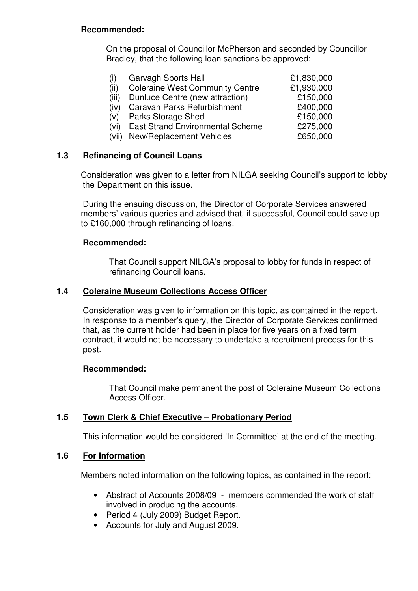#### **Recommended:**

 On the proposal of Councillor McPherson and seconded by Councillor Bradley, that the following loan sanctions be approved:

| $\sf(1)$ | <b>Garvagh Sports Hall</b>              | £1,830,000 |
|----------|-----------------------------------------|------------|
| (ii)     | <b>Coleraine West Community Centre</b>  | £1,930,000 |
| (iii)    | Dunluce Centre (new attraction)         | £150,000   |
| (iv)     | <b>Caravan Parks Refurbishment</b>      | £400,000   |
| (V)      | <b>Parks Storage Shed</b>               | £150,000   |
| (vi)     | <b>East Strand Environmental Scheme</b> | £275,000   |
|          | (vii) New/Replacement Vehicles          | £650,000   |

# **1.3 Refinancing of Council Loans**

 Consideration was given to a letter from NILGA seeking Council's support to lobby the Department on this issue.

 During the ensuing discussion, the Director of Corporate Services answered members' various queries and advised that, if successful, Council could save up to £160,000 through refinancing of loans.

# **Recommended:**

That Council support NILGA's proposal to lobby for funds in respect of refinancing Council loans.

#### **1.4 Coleraine Museum Collections Access Officer**

Consideration was given to information on this topic, as contained in the report. In response to a member's query, the Director of Corporate Services confirmed that, as the current holder had been in place for five years on a fixed term contract, it would not be necessary to undertake a recruitment process for this post.

#### **Recommended:**

That Council make permanent the post of Coleraine Museum Collections Access Officer.

# **1.5 Town Clerk & Chief Executive – Probationary Period**

This information would be considered 'In Committee' at the end of the meeting.

#### **1.6 For Information**

Members noted information on the following topics, as contained in the report:

- Abstract of Accounts 2008/09 members commended the work of staff involved in producing the accounts.
- Period 4 (July 2009) Budget Report.
- Accounts for July and August 2009.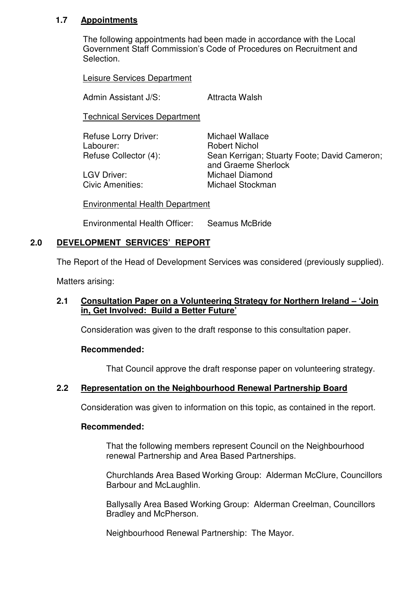# **1.7 Appointments**

The following appointments had been made in accordance with the Local Government Staff Commission's Code of Procedures on Recruitment and Selection.

Leisure Services Department

Admin Assistant J/S: Attracta Walsh

Technical Services Department

Refuse Lorry Driver: Michael Wallace Labourer: Robert Nichol

Refuse Collector (4): Sean Kerrigan; Stuarty Foote; David Cameron; and Graeme Sherlock LGV Driver: Michael Diamond Civic Amenities: Michael Stockman

Environmental Health Department

Environmental Health Officer: Seamus McBride

# **2.0 DEVELOPMENT SERVICES' REPORT**

The Report of the Head of Development Services was considered (previously supplied).

Matters arising:

# **2.1 Consultation Paper on a Volunteering Strategy for Northern Ireland – 'Join in, Get Involved: Build a Better Future'**

Consideration was given to the draft response to this consultation paper.

#### **Recommended:**

That Council approve the draft response paper on volunteering strategy.

# **2.2 Representation on the Neighbourhood Renewal Partnership Board**

Consideration was given to information on this topic, as contained in the report.

#### **Recommended:**

 That the following members represent Council on the Neighbourhood renewal Partnership and Area Based Partnerships.

 Churchlands Area Based Working Group: Alderman McClure, Councillors Barbour and McLaughlin.

 Ballysally Area Based Working Group: Alderman Creelman, Councillors Bradley and McPherson.

Neighbourhood Renewal Partnership: The Mayor.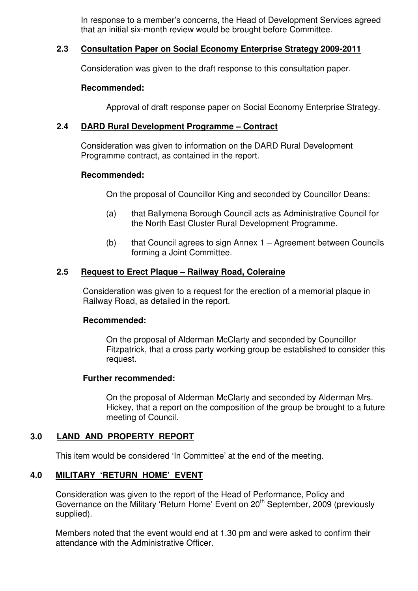In response to a member's concerns, the Head of Development Services agreed that an initial six-month review would be brought before Committee.

#### **2.3 Consultation Paper on Social Economy Enterprise Strategy 2009-2011**

Consideration was given to the draft response to this consultation paper.

#### **Recommended:**

Approval of draft response paper on Social Economy Enterprise Strategy.

#### **2.4 DARD Rural Development Programme – Contract**

 Consideration was given to information on the DARD Rural Development Programme contract, as contained in the report.

#### **Recommended:**

On the proposal of Councillor King and seconded by Councillor Deans:

- (a) that Ballymena Borough Council acts as Administrative Council for the North East Cluster Rural Development Programme.
- (b) that Council agrees to sign Annex 1 Agreement between Councils forming a Joint Committee.

#### **2.5 Request to Erect Plaque – Railway Road, Coleraine**

Consideration was given to a request for the erection of a memorial plaque in Railway Road, as detailed in the report.

#### **Recommended:**

 On the proposal of Alderman McClarty and seconded by Councillor Fitzpatrick, that a cross party working group be established to consider this request.

#### **Further recommended:**

On the proposal of Alderman McClarty and seconded by Alderman Mrs. Hickey, that a report on the composition of the group be brought to a future meeting of Council.

#### **3.0 LAND AND PROPERTY REPORT**

This item would be considered 'In Committee' at the end of the meeting.

#### **4.0 MILITARY 'RETURN HOME' EVENT**

Consideration was given to the report of the Head of Performance, Policy and Governance on the Military 'Return Home' Event on 20<sup>th</sup> September, 2009 (previously supplied).

Members noted that the event would end at 1.30 pm and were asked to confirm their attendance with the Administrative Officer.